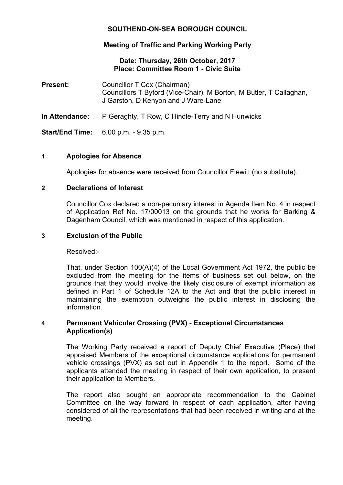# **SOUTHEND-ON-SEA BOROUGH COUNCIL**

## **Meeting of Traffic and Parking Working Party**

## **Date: Thursday, 26th October, 2017 Place: Committee Room 1 - Civic Suite**

| <b>Present:</b>        | Councillor T Cox (Chairman)<br>Councillors T Byford (Vice-Chair), M Borton, M Butler, T Callaghan,<br>J Garston, D Kenyon and J Ware-Lane |
|------------------------|-------------------------------------------------------------------------------------------------------------------------------------------|
| In Attendance:         | P Geraghty, T Row, C Hindle-Terry and N Hunwicks                                                                                          |
| <b>Start/End Time:</b> | $6.00$ p.m. $-9.35$ p.m.                                                                                                                  |

#### **1 Apologies for Absence**

Apologies for absence were received from Councillor Flewitt (no substitute).

#### **2 Declarations of Interest**

Councillor Cox declared a non-pecuniary interest in Agenda Item No. 4 in respect of Application Ref No. 17/00013 on the grounds that he works for Barking & Dagenham Council, which was mentioned in respect of this application.

#### **3 Exclusion of the Public**

Resolved:-

That, under Section 100(A)(4) of the Local Government Act 1972, the public be excluded from the meeting for the items of business set out below, on the grounds that they would involve the likely disclosure of exempt information as defined in Part 1 of Schedule 12A to the Act and that the public interest in maintaining the exemption outweighs the public interest in disclosing the information.

## **4 Permanent Vehicular Crossing (PVX) - Exceptional Circumstances Application(s)**

The Working Party received a report of Deputy Chief Executive (Place) that appraised Members of the exceptional circumstance applications for permanent vehicle crossings (PVX) as set out in Appendix 1 to the report. Some of the applicants attended the meeting in respect of their own application, to present their application to Members.

The report also sought an appropriate recommendation to the Cabinet Committee on the way forward in respect of each application, after having considered of all the representations that had been received in writing and at the meeting.